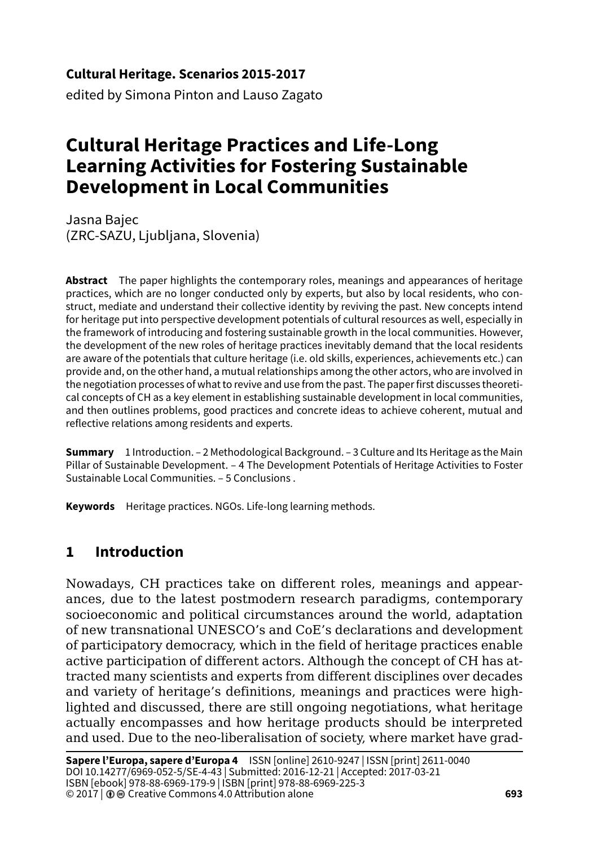#### **Cultural Heritage. Scenarios 2015-2017**

edited by Simona Pinton and Lauso Zagato

# **Cultural Heritage Practices and Life-Long Learning Activities for Fostering Sustainable Development in Local Communities**

Jasna Bajec (ZRC-SAZU, Ljubljana, Slovenia)

**Abstract** The paper highlights the contemporary roles, meanings and appearances of heritage practices, which are no longer conducted only by experts, but also by local residents, who construct, mediate and understand their collective identity by reviving the past. New concepts intend for heritage put into perspective development potentials of cultural resources as well, especially in the framework of introducing and fostering sustainable growth in the local communities. However, the development of the new roles of heritage practices inevitably demand that the local residents are aware of the potentials that culture heritage (i.e. old skills, experiences, achievements etc.) can provide and, on the other hand, a mutual relationships among the other actors, who are involved in the negotiation processes of what to revive and use from the past. The paper first discusses theoretical concepts of CH as a key element in establishing sustainable development in local communities, and then outlines problems, good practices and concrete ideas to achieve coherent, mutual and reflective relations among residents and experts.

**Summary** 1 Introduction. – 2 Methodological Background. – 3 Culture and Its Heritage as the Main Pillar of Sustainable Development. – 4 The Development Potentials of Heritage Activities to Foster Sustainable Local Communities. – 5 Conclusions .

**Keywords** Heritage practices. NGOs. Life-long learning methods.

# **1 Introduction**

Nowadays, CH practices take on different roles, meanings and appearances, due to the latest postmodern research paradigms, contemporary socioeconomic and political circumstances around the world, adaptation of new transnational UNESCO's and CoE's declarations and development of participatory democracy, which in the field of heritage practices enable active participation of different actors. Although the concept of CH has attracted many scientists and experts from different disciplines over decades and variety of heritage's definitions, meanings and practices were highlighted and discussed, there are still ongoing negotiations, what heritage actually encompasses and how heritage products should be interpreted and used. Due to the neo-liberalisation of society, where market have grad-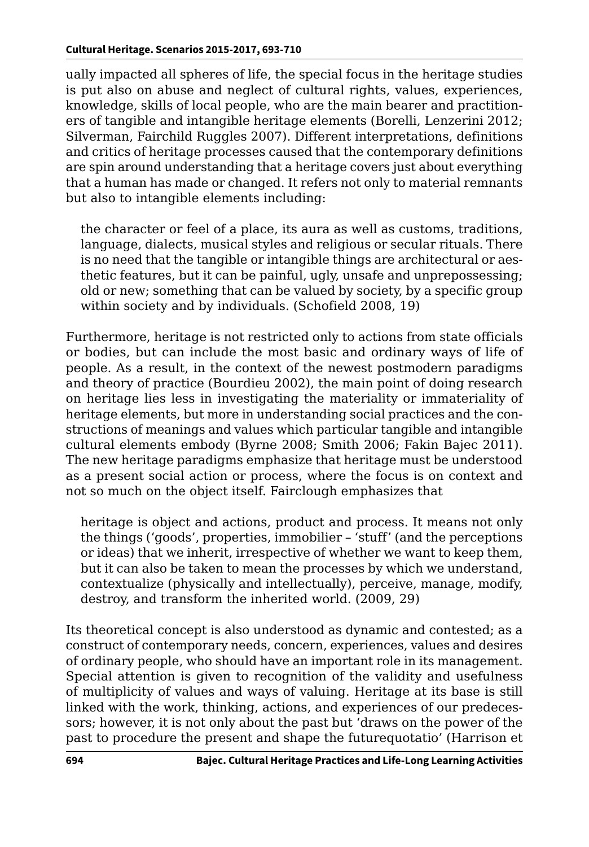ually impacted all spheres of life, the special focus in the heritage studies is put also on abuse and neglect of cultural rights, values, experiences, knowledge, skills of local people, who are the main bearer and practitioners of tangible and intangible heritage elements (Borelli, Lenzerini 2012; Silverman, Fairchild Ruggles 2007). Different interpretations, definitions and critics of heritage processes caused that the contemporary definitions are spin around understanding that a heritage covers just about everything that a human has made or changed. It refers not only to material remnants but also to intangible elements including:

the character or feel of a place, its aura as well as customs, traditions, language, dialects, musical styles and religious or secular rituals. There is no need that the tangible or intangible things are architectural or aesthetic features, but it can be painful, ugly, unsafe and unprepossessing; old or new; something that can be valued by society, by a specific group within society and by individuals. (Schofield 2008, 19)

Furthermore, heritage is not restricted only to actions from state officials or bodies, but can include the most basic and ordinary ways of life of people. As a result, in the context of the newest postmodern paradigms and theory of practice (Bourdieu 2002), the main point of doing research on heritage lies less in investigating the materiality or immateriality of heritage elements, but more in understanding social practices and the constructions of meanings and values which particular tangible and intangible cultural elements embody (Byrne 2008; Smith 2006; Fakin Bajec 2011). The new heritage paradigms emphasize that heritage must be understood as a present social action or process, where the focus is on context and not so much on the object itself. Fairclough emphasizes that

heritage is object and actions, product and process. It means not only the things ('goods', properties, immobilier – 'stuff' (and the perceptions or ideas) that we inherit, irrespective of whether we want to keep them, but it can also be taken to mean the processes by which we understand, contextualize (physically and intellectually), perceive, manage, modify, destroy, and transform the inherited world. (2009, 29)

Its theoretical concept is also understood as dynamic and contested; as a construct of contemporary needs, concern, experiences, values and desires of ordinary people, who should have an important role in its management. Special attention is given to recognition of the validity and usefulness of multiplicity of values and ways of valuing. Heritage at its base is still linked with the work, thinking, actions, and experiences of our predecessors; however, it is not only about the past but 'draws on the power of the past to procedure the present and shape the futurequotatio' (Harrison et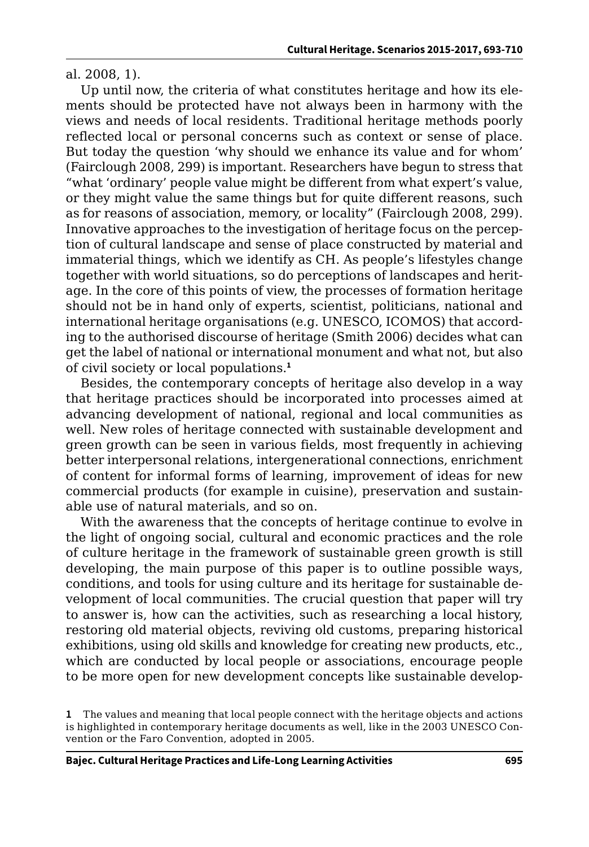al. 2008, 1).

Up until now, the criteria of what constitutes heritage and how its elements should be protected have not always been in harmony with the views and needs of local residents. Traditional heritage methods poorly reflected local or personal concerns such as context or sense of place. But today the question 'why should we enhance its value and for whom' (Fairclough 2008, 299) is important. Researchers have begun to stress that "what 'ordinary' people value might be different from what expert's value, or they might value the same things but for quite different reasons, such as for reasons of association, memory, or locality" (Fairclough 2008, 299). Innovative approaches to the investigation of heritage focus on the perception of cultural landscape and sense of place constructed by material and immaterial things, which we identify as CH. As people's lifestyles change together with world situations, so do perceptions of landscapes and heritage. In the core of this points of view, the processes of formation heritage should not be in hand only of experts, scientist, politicians, national and international heritage organisations (e.g. UNESCO, ICOMOS) that according to the authorised discourse of heritage (Smith 2006) decides what can get the label of national or international monument and what not, but also of civil society or local populations.**<sup>1</sup>**

Besides, the contemporary concepts of heritage also develop in a way that heritage practices should be incorporated into processes aimed at advancing development of national, regional and local communities as well. New roles of heritage connected with sustainable development and green growth can be seen in various fields, most frequently in achieving better interpersonal relations, intergenerational connections, enrichment of content for informal forms of learning, improvement of ideas for new commercial products (for example in cuisine), preservation and sustainable use of natural materials, and so on.

With the awareness that the concepts of heritage continue to evolve in the light of ongoing social, cultural and economic practices and the role of culture heritage in the framework of sustainable green growth is still developing, the main purpose of this paper is to outline possible ways, conditions, and tools for using culture and its heritage for sustainable development of local communities. The crucial question that paper will try to answer is, how can the activities, such as researching a local history, restoring old material objects, reviving old customs, preparing historical exhibitions, using old skills and knowledge for creating new products, etc., which are conducted by local people or associations, encourage people to be more open for new development concepts like sustainable develop-

**<sup>1</sup>** The values and meaning that local people connect with the heritage objects and actions is highlighted in contemporary heritage documents as well, like in the 2003 UNESCO Convention or the Faro Convention, adopted in 2005.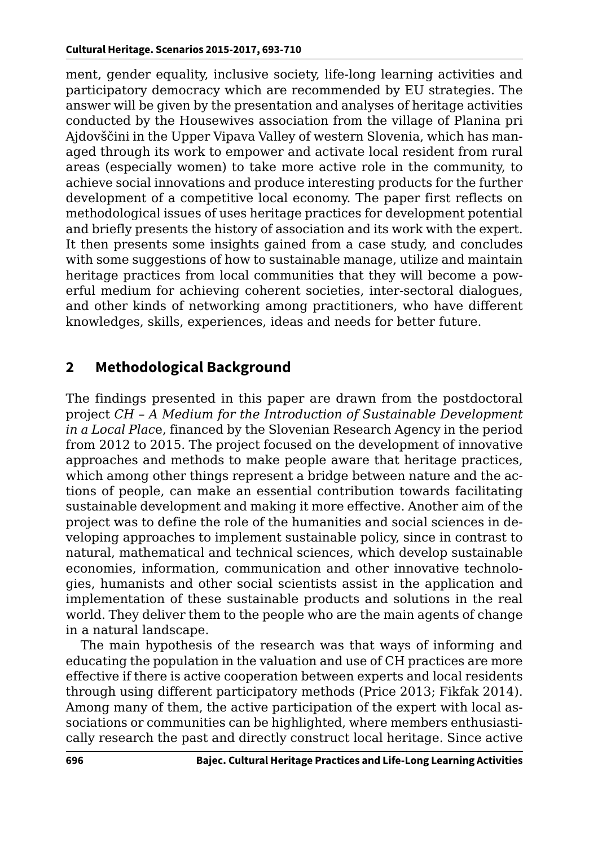ment, gender equality, inclusive society, life-long learning activities and participatory democracy which are recommended by EU strategies. The answer will be given by the presentation and analyses of heritage activities conducted by the Housewives association from the village of Planina pri Ajdovščini in the Upper Vipava Valley of western Slovenia, which has managed through its work to empower and activate local resident from rural areas (especially women) to take more active role in the community, to achieve social innovations and produce interesting products for the further development of a competitive local economy. The paper first reflects on methodological issues of uses heritage practices for development potential and briefly presents the history of association and its work with the expert. It then presents some insights gained from a case study, and concludes with some suggestions of how to sustainable manage, utilize and maintain heritage practices from local communities that they will become a powerful medium for achieving coherent societies, inter-sectoral dialogues, and other kinds of networking among practitioners, who have different knowledges, skills, experiences, ideas and needs for better future.

## **2 Methodological Background**

The findings presented in this paper are drawn from the postdoctoral project *CH – A Medium for the Introduction of Sustainable Development in a Local Plac*e, financed by the Slovenian Research Agency in the period from 2012 to 2015. The project focused on the development of innovative approaches and methods to make people aware that heritage practices, which among other things represent a bridge between nature and the actions of people, can make an essential contribution towards facilitating sustainable development and making it more effective. Another aim of the project was to define the role of the humanities and social sciences in developing approaches to implement sustainable policy, since in contrast to natural, mathematical and technical sciences, which develop sustainable economies, information, communication and other innovative technologies, humanists and other social scientists assist in the application and implementation of these sustainable products and solutions in the real world. They deliver them to the people who are the main agents of change in a natural landscape.

The main hypothesis of the research was that ways of informing and educating the population in the valuation and use of CH practices are more effective if there is active cooperation between experts and local residents through using different participatory methods (Price 2013; Fikfak 2014). Among many of them, the active participation of the expert with local associations or communities can be highlighted, where members enthusiastically research the past and directly construct local heritage. Since active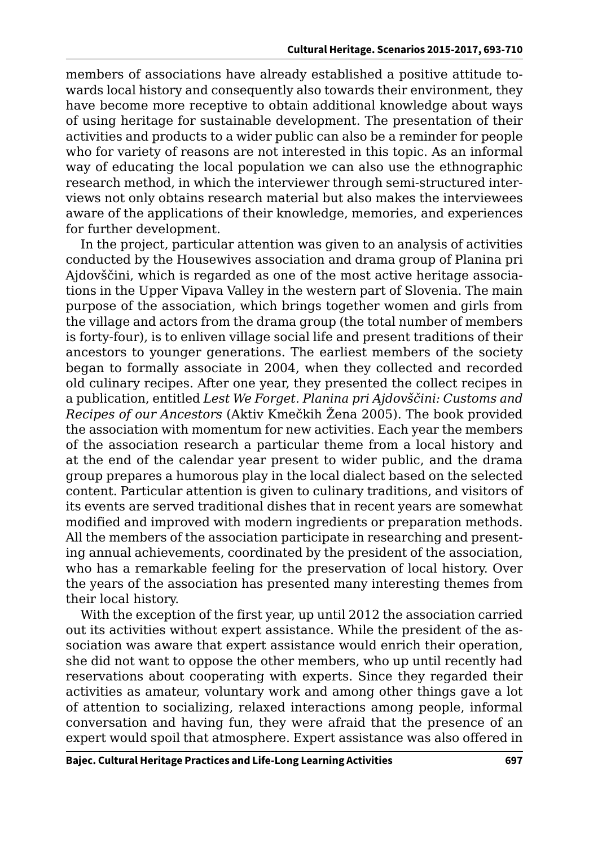members of associations have already established a positive attitude towards local history and consequently also towards their environment, they have become more receptive to obtain additional knowledge about ways of using heritage for sustainable development. The presentation of their activities and products to a wider public can also be a reminder for people who for variety of reasons are not interested in this topic. As an informal way of educating the local population we can also use the ethnographic research method, in which the interviewer through semi-structured interviews not only obtains research material but also makes the interviewees aware of the applications of their knowledge, memories, and experiences for further development.

In the project, particular attention was given to an analysis of activities conducted by the Housewives association and drama group of Planina pri Ajdovščini, which is regarded as one of the most active heritage associations in the Upper Vipava Valley in the western part of Slovenia. The main purpose of the association, which brings together women and girls from the village and actors from the drama group (the total number of members is forty-four), is to enliven village social life and present traditions of their ancestors to younger generations. The earliest members of the society began to formally associate in 2004, when they collected and recorded old culinary recipes. After one year, they presented the collect recipes in a publication, entitled *Lest We Forget. Planina pri Ajdovščini: Customs and Recipes of our Ancestors* (Aktiv Kmečkih Žena 2005). The book provided the association with momentum for new activities. Each year the members of the association research a particular theme from a local history and at the end of the calendar year present to wider public, and the drama group prepares a humorous play in the local dialect based on the selected content. Particular attention is given to culinary traditions, and visitors of its events are served traditional dishes that in recent years are somewhat modified and improved with modern ingredients or preparation methods. All the members of the association participate in researching and presenting annual achievements, coordinated by the president of the association, who has a remarkable feeling for the preservation of local history. Over the years of the association has presented many interesting themes from their local history.

With the exception of the first year, up until 2012 the association carried out its activities without expert assistance. While the president of the association was aware that expert assistance would enrich their operation, she did not want to oppose the other members, who up until recently had reservations about cooperating with experts. Since they regarded their activities as amateur, voluntary work and among other things gave a lot of attention to socializing, relaxed interactions among people, informal conversation and having fun, they were afraid that the presence of an expert would spoil that atmosphere. Expert assistance was also offered in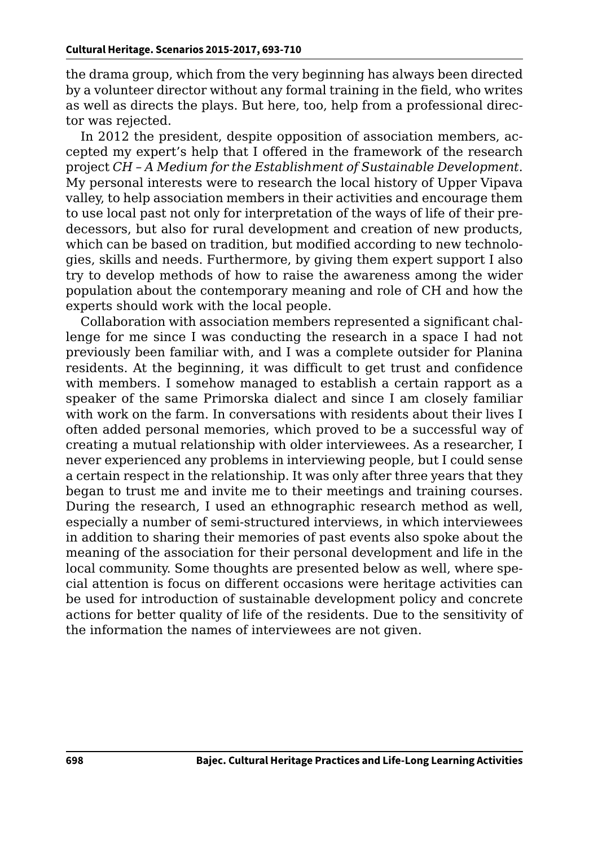the drama group, which from the very beginning has always been directed by a volunteer director without any formal training in the field, who writes as well as directs the plays. But here, too, help from a professional director was rejected.

In 2012 the president, despite opposition of association members, accepted my expert's help that I offered in the framework of the research project *CH – A Medium for the Establishment of Sustainable Development*. My personal interests were to research the local history of Upper Vipava valley, to help association members in their activities and encourage them to use local past not only for interpretation of the ways of life of their predecessors, but also for rural development and creation of new products, which can be based on tradition, but modified according to new technologies, skills and needs. Furthermore, by giving them expert support I also try to develop methods of how to raise the awareness among the wider population about the contemporary meaning and role of CH and how the experts should work with the local people.

Collaboration with association members represented a significant challenge for me since I was conducting the research in a space I had not previously been familiar with, and I was a complete outsider for Planina residents. At the beginning, it was difficult to get trust and confidence with members. I somehow managed to establish a certain rapport as a speaker of the same Primorska dialect and since I am closely familiar with work on the farm. In conversations with residents about their lives I often added personal memories, which proved to be a successful way of creating a mutual relationship with older interviewees. As a researcher, I never experienced any problems in interviewing people, but I could sense a certain respect in the relationship. It was only after three years that they began to trust me and invite me to their meetings and training courses. During the research, I used an ethnographic research method as well, especially a number of semi-structured interviews, in which interviewees in addition to sharing their memories of past events also spoke about the meaning of the association for their personal development and life in the local community. Some thoughts are presented below as well, where special attention is focus on different occasions were heritage activities can be used for introduction of sustainable development policy and concrete actions for better quality of life of the residents. Due to the sensitivity of the information the names of interviewees are not given.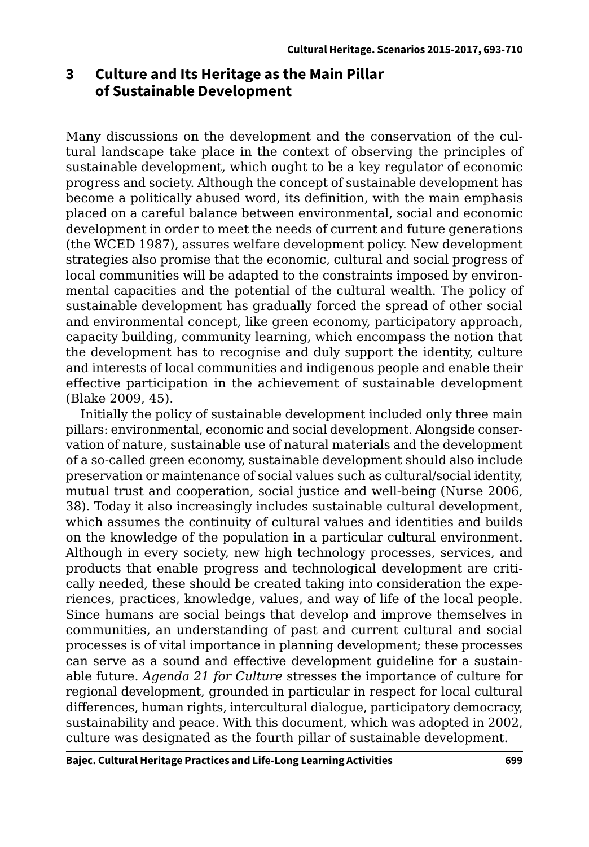### **3 Culture and Its Heritage as the Main Pillar of Sustainable Development**

Many discussions on the development and the conservation of the cultural landscape take place in the context of observing the principles of sustainable development, which ought to be a key regulator of economic progress and society. Although the concept of sustainable development has become a politically abused word, its definition, with the main emphasis placed on a careful balance between environmental, social and economic development in order to meet the needs of current and future generations (the WCED 1987), assures welfare development policy. New development strategies also promise that the economic, cultural and social progress of local communities will be adapted to the constraints imposed by environmental capacities and the potential of the cultural wealth. The policy of sustainable development has gradually forced the spread of other social and environmental concept, like green economy, participatory approach, capacity building, community learning, which encompass the notion that the development has to recognise and duly support the identity, culture and interests of local communities and indigenous people and enable their effective participation in the achievement of sustainable development (Blake 2009, 45).

Initially the policy of sustainable development included only three main pillars: environmental, economic and social development. Alongside conservation of nature, sustainable use of natural materials and the development of a so-called green economy, sustainable development should also include preservation or maintenance of social values such as cultural/social identity, mutual trust and cooperation, social justice and well-being (Nurse 2006, 38). Today it also increasingly includes sustainable cultural development, which assumes the continuity of cultural values and identities and builds on the knowledge of the population in a particular cultural environment. Although in every society, new high technology processes, services, and products that enable progress and technological development are critically needed, these should be created taking into consideration the experiences, practices, knowledge, values, and way of life of the local people. Since humans are social beings that develop and improve themselves in communities, an understanding of past and current cultural and social processes is of vital importance in planning development; these processes can serve as a sound and effective development guideline for a sustainable future. *Agenda 21 for Culture* stresses the importance of culture for regional development, grounded in particular in respect for local cultural differences, human rights, intercultural dialogue, participatory democracy, sustainability and peace. With this document, which was adopted in 2002, culture was designated as the fourth pillar of sustainable development.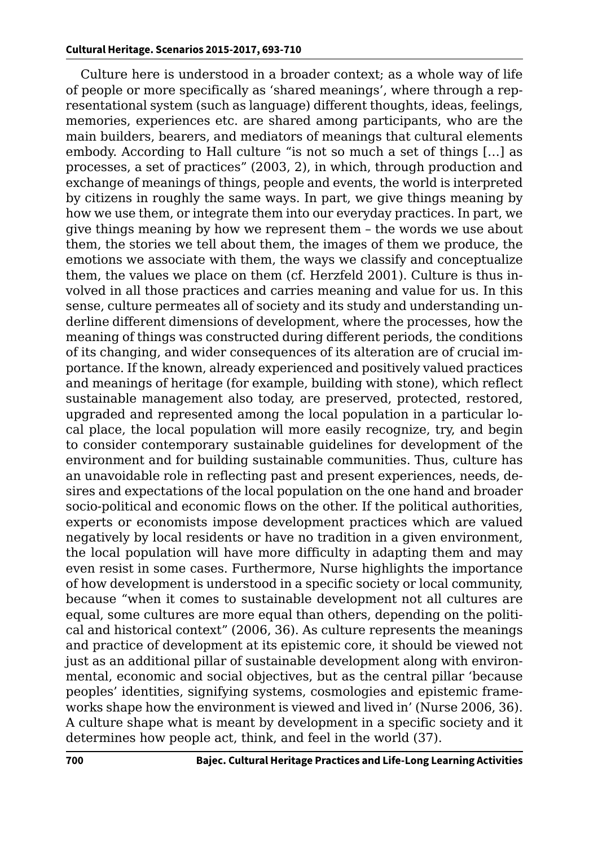Culture here is understood in a broader context; as a whole way of life of people or more specifically as 'shared meanings', where through a representational system (such as language) different thoughts, ideas, feelings, memories, experiences etc. are shared among participants, who are the main builders, bearers, and mediators of meanings that cultural elements embody. According to Hall culture "is not so much a set of things […] as processes, a set of practices" (2003, 2), in which, through production and exchange of meanings of things, people and events, the world is interpreted by citizens in roughly the same ways. In part, we give things meaning by how we use them, or integrate them into our everyday practices. In part, we give things meaning by how we represent them – the words we use about them, the stories we tell about them, the images of them we produce, the emotions we associate with them, the ways we classify and conceptualize them, the values we place on them (cf. Herzfeld 2001). Culture is thus involved in all those practices and carries meaning and value for us. In this sense, culture permeates all of society and its study and understanding underline different dimensions of development, where the processes, how the meaning of things was constructed during different periods, the conditions of its changing, and wider consequences of its alteration are of crucial importance. If the known, already experienced and positively valued practices and meanings of heritage (for example, building with stone), which reflect sustainable management also today, are preserved, protected, restored, upgraded and represented among the local population in a particular local place, the local population will more easily recognize, try, and begin to consider contemporary sustainable guidelines for development of the environment and for building sustainable communities. Thus, culture has an unavoidable role in reflecting past and present experiences, needs, desires and expectations of the local population on the one hand and broader socio-political and economic flows on the other. If the political authorities, experts or economists impose development practices which are valued negatively by local residents or have no tradition in a given environment, the local population will have more difficulty in adapting them and may even resist in some cases. Furthermore, Nurse highlights the importance of how development is understood in a specific society or local community, because "when it comes to sustainable development not all cultures are equal, some cultures are more equal than others, depending on the political and historical context" (2006, 36). As culture represents the meanings and practice of development at its epistemic core, it should be viewed not just as an additional pillar of sustainable development along with environmental, economic and social objectives, but as the central pillar 'because peoples' identities, signifying systems, cosmologies and epistemic frameworks shape how the environment is viewed and lived in' (Nurse 2006, 36). A culture shape what is meant by development in a specific society and it determines how people act, think, and feel in the world (37).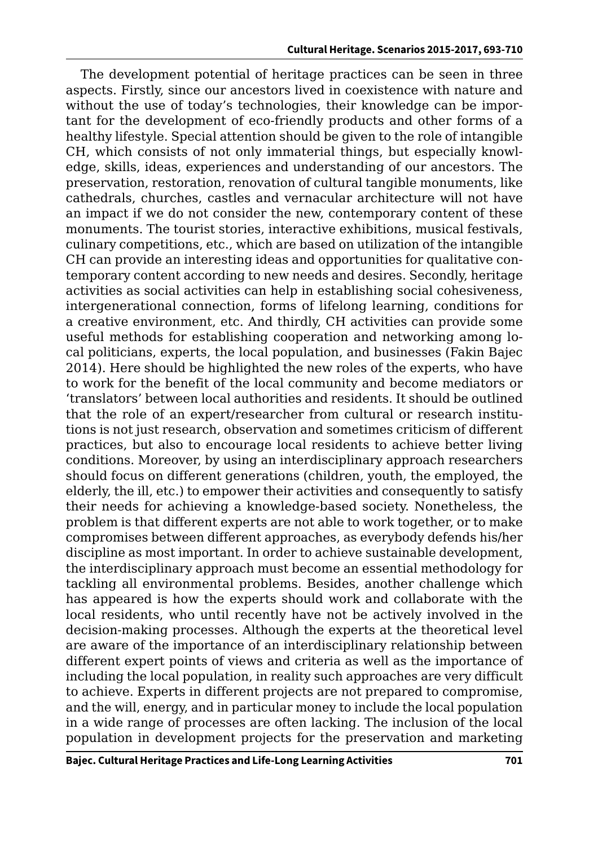The development potential of heritage practices can be seen in three aspects. Firstly, since our ancestors lived in coexistence with nature and without the use of today's technologies, their knowledge can be important for the development of eco-friendly products and other forms of a healthy lifestyle. Special attention should be given to the role of intangible CH, which consists of not only immaterial things, but especially knowledge, skills, ideas, experiences and understanding of our ancestors. The preservation, restoration, renovation of cultural tangible monuments, like cathedrals, churches, castles and vernacular architecture will not have an impact if we do not consider the new, contemporary content of these monuments. The tourist stories, interactive exhibitions, musical festivals, culinary competitions, etc., which are based on utilization of the intangible CH can provide an interesting ideas and opportunities for qualitative contemporary content according to new needs and desires. Secondly, heritage activities as social activities can help in establishing social cohesiveness, intergenerational connection, forms of lifelong learning, conditions for a creative environment, etc. And thirdly, CH activities can provide some useful methods for establishing cooperation and networking among local politicians, experts, the local population, and businesses (Fakin Bajec 2014). Here should be highlighted the new roles of the experts, who have to work for the benefit of the local community and become mediators or 'translators' between local authorities and residents. It should be outlined that the role of an expert/researcher from cultural or research institutions is not just research, observation and sometimes criticism of different practices, but also to encourage local residents to achieve better living conditions. Moreover, by using an interdisciplinary approach researchers should focus on different generations (children, youth, the employed, the elderly, the ill, etc.) to empower their activities and consequently to satisfy their needs for achieving a knowledge-based society. Nonetheless, the problem is that different experts are not able to work together, or to make compromises between different approaches, as everybody defends his/her discipline as most important. In order to achieve sustainable development, the interdisciplinary approach must become an essential methodology for tackling all environmental problems. Besides, another challenge which has appeared is how the experts should work and collaborate with the local residents, who until recently have not be actively involved in the decision-making processes. Although the experts at the theoretical level are aware of the importance of an interdisciplinary relationship between different expert points of views and criteria as well as the importance of including the local population, in reality such approaches are very difficult to achieve. Experts in different projects are not prepared to compromise, and the will, energy, and in particular money to include the local population in a wide range of processes are often lacking. The inclusion of the local population in development projects for the preservation and marketing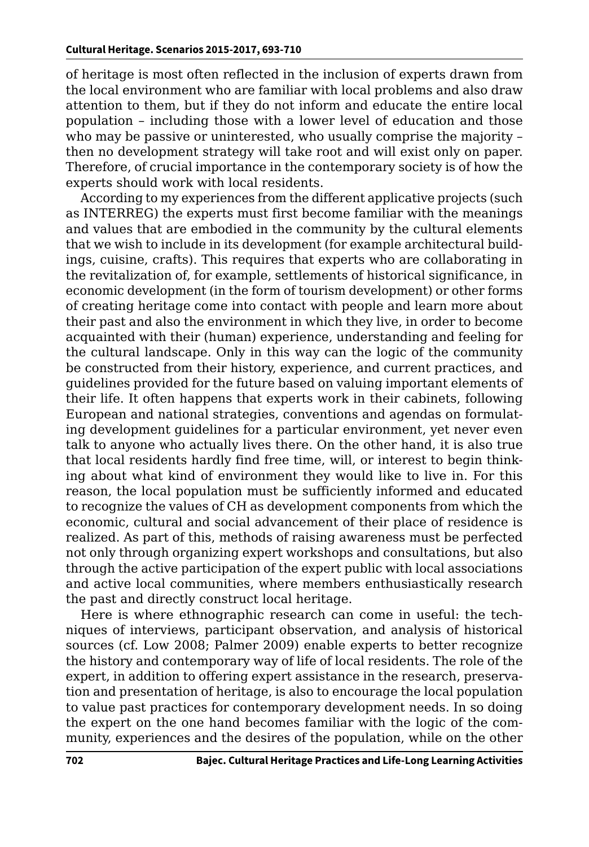of heritage is most often reflected in the inclusion of experts drawn from the local environment who are familiar with local problems and also draw attention to them, but if they do not inform and educate the entire local population – including those with a lower level of education and those who may be passive or uninterested, who usually comprise the majority – then no development strategy will take root and will exist only on paper. Therefore, of crucial importance in the contemporary society is of how the experts should work with local residents.

According to my experiences from the different applicative projects (such as INTERREG) the experts must first become familiar with the meanings and values that are embodied in the community by the cultural elements that we wish to include in its development (for example architectural buildings, cuisine, crafts). This requires that experts who are collaborating in the revitalization of, for example, settlements of historical significance, in economic development (in the form of tourism development) or other forms of creating heritage come into contact with people and learn more about their past and also the environment in which they live, in order to become acquainted with their (human) experience, understanding and feeling for the cultural landscape. Only in this way can the logic of the community be constructed from their history, experience, and current practices, and guidelines provided for the future based on valuing important elements of their life. It often happens that experts work in their cabinets, following European and national strategies, conventions and agendas on formulating development guidelines for a particular environment, yet never even talk to anyone who actually lives there. On the other hand, it is also true that local residents hardly find free time, will, or interest to begin thinking about what kind of environment they would like to live in. For this reason, the local population must be sufficiently informed and educated to recognize the values of CH as development components from which the economic, cultural and social advancement of their place of residence is realized. As part of this, methods of raising awareness must be perfected not only through organizing expert workshops and consultations, but also through the active participation of the expert public with local associations and active local communities, where members enthusiastically research the past and directly construct local heritage.

Here is where ethnographic research can come in useful: the techniques of interviews, participant observation, and analysis of historical sources (cf. Low 2008; Palmer 2009) enable experts to better recognize the history and contemporary way of life of local residents. The role of the expert, in addition to offering expert assistance in the research, preservation and presentation of heritage, is also to encourage the local population to value past practices for contemporary development needs. In so doing the expert on the one hand becomes familiar with the logic of the community, experiences and the desires of the population, while on the other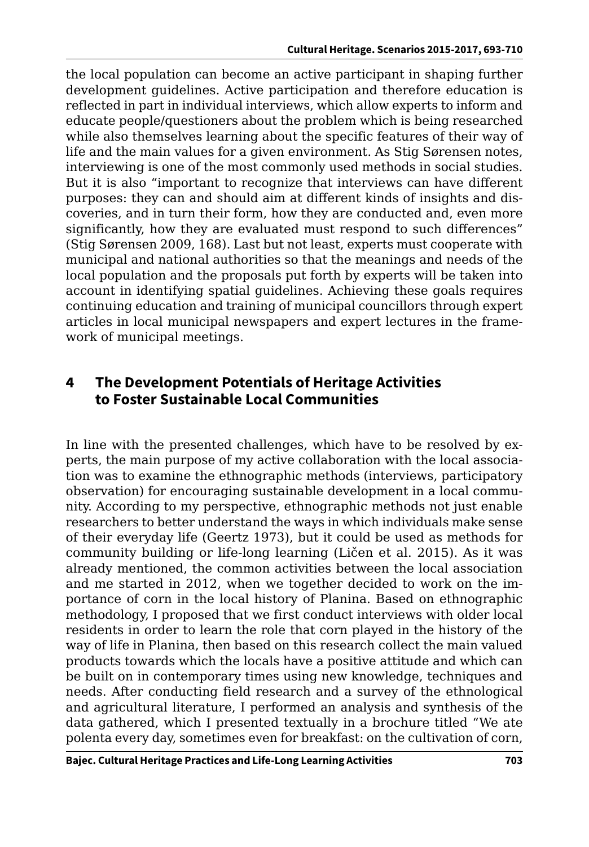the local population can become an active participant in shaping further development guidelines. Active participation and therefore education is reflected in part in individual interviews, which allow experts to inform and educate people/questioners about the problem which is being researched while also themselves learning about the specific features of their way of life and the main values for a given environment. As Stig Sørensen notes, interviewing is one of the most commonly used methods in social studies. But it is also "important to recognize that interviews can have different purposes: they can and should aim at different kinds of insights and discoveries, and in turn their form, how they are conducted and, even more significantly, how they are evaluated must respond to such differences" (Stig Sørensen 2009, 168). Last but not least, experts must cooperate with municipal and national authorities so that the meanings and needs of the local population and the proposals put forth by experts will be taken into account in identifying spatial guidelines. Achieving these goals requires continuing education and training of municipal councillors through expert articles in local municipal newspapers and expert lectures in the framework of municipal meetings.

## **4 The Development Potentials of Heritage Activities to Foster Sustainable Local Communities**

In line with the presented challenges, which have to be resolved by experts, the main purpose of my active collaboration with the local association was to examine the ethnographic methods (interviews, participatory observation) for encouraging sustainable development in a local community. According to my perspective, ethnographic methods not just enable researchers to better understand the ways in which individuals make sense of their everyday life (Geertz 1973), but it could be used as methods for community building or life-long learning (Ličen et al. 2015). As it was already mentioned, the common activities between the local association and me started in 2012, when we together decided to work on the importance of corn in the local history of Planina. Based on ethnographic methodology, I proposed that we first conduct interviews with older local residents in order to learn the role that corn played in the history of the way of life in Planina, then based on this research collect the main valued products towards which the locals have a positive attitude and which can be built on in contemporary times using new knowledge, techniques and needs. After conducting field research and a survey of the ethnological and agricultural literature, I performed an analysis and synthesis of the data gathered, which I presented textually in a brochure titled "We ate polenta every day, sometimes even for breakfast: on the cultivation of corn,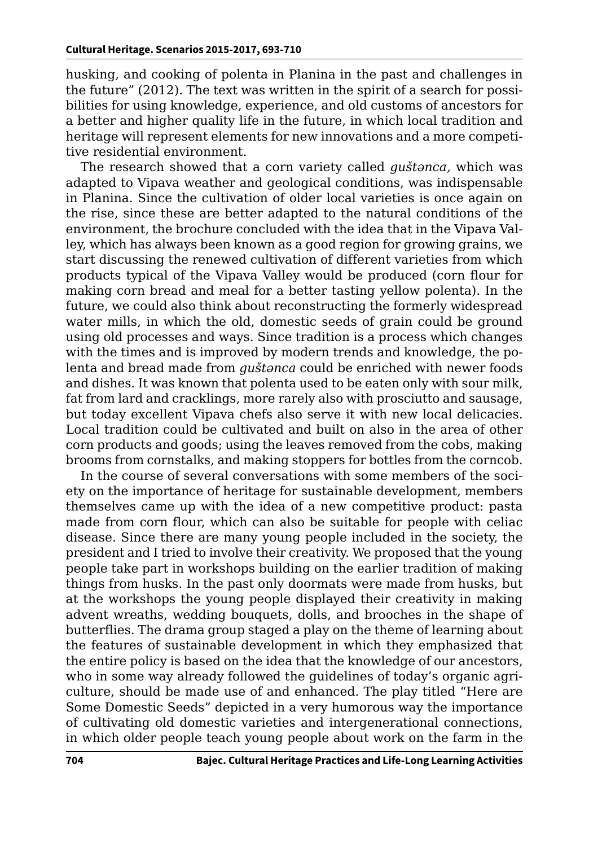husking, and cooking of polenta in Planina in the past and challenges in the future" (2012). The text was written in the spirit of a search for possibilities for using knowledge, experience, and old customs of ancestors for a better and higher quality life in the future, in which local tradition and heritage will represent elements for new innovations and a more competitive residential environment.

The research showed that a corn variety called *guštәnca,* which was adapted to Vipava weather and geological conditions, was indispensable in Planina. Since the cultivation of older local varieties is once again on the rise, since these are better adapted to the natural conditions of the environment, the brochure concluded with the idea that in the Vipava Valley, which has always been known as a good region for growing grains, we start discussing the renewed cultivation of different varieties from which products typical of the Vipava Valley would be produced (corn flour for making corn bread and meal for a better tasting yellow polenta). In the future, we could also think about reconstructing the formerly widespread water mills, in which the old, domestic seeds of grain could be ground using old processes and ways. Since tradition is a process which changes with the times and is improved by modern trends and knowledge, the polenta and bread made from *guštәnca* could be enriched with newer foods and dishes. It was known that polenta used to be eaten only with sour milk, fat from lard and cracklings, more rarely also with prosciutto and sausage, but today excellent Vipava chefs also serve it with new local delicacies. Local tradition could be cultivated and built on also in the area of other corn products and goods; using the leaves removed from the cobs, making brooms from cornstalks, and making stoppers for bottles from the corncob.

In the course of several conversations with some members of the society on the importance of heritage for sustainable development, members themselves came up with the idea of a new competitive product: pasta made from corn flour, which can also be suitable for people with celiac disease. Since there are many young people included in the society, the president and I tried to involve their creativity. We proposed that the young people take part in workshops building on the earlier tradition of making things from husks. In the past only doormats were made from husks, but at the workshops the young people displayed their creativity in making advent wreaths, wedding bouquets, dolls, and brooches in the shape of butterflies. The drama group staged a play on the theme of learning about the features of sustainable development in which they emphasized that the entire policy is based on the idea that the knowledge of our ancestors, who in some way already followed the guidelines of today's organic agriculture, should be made use of and enhanced. The play titled "Here are Some Domestic Seeds" depicted in a very humorous way the importance of cultivating old domestic varieties and intergenerational connections, in which older people teach young people about work on the farm in the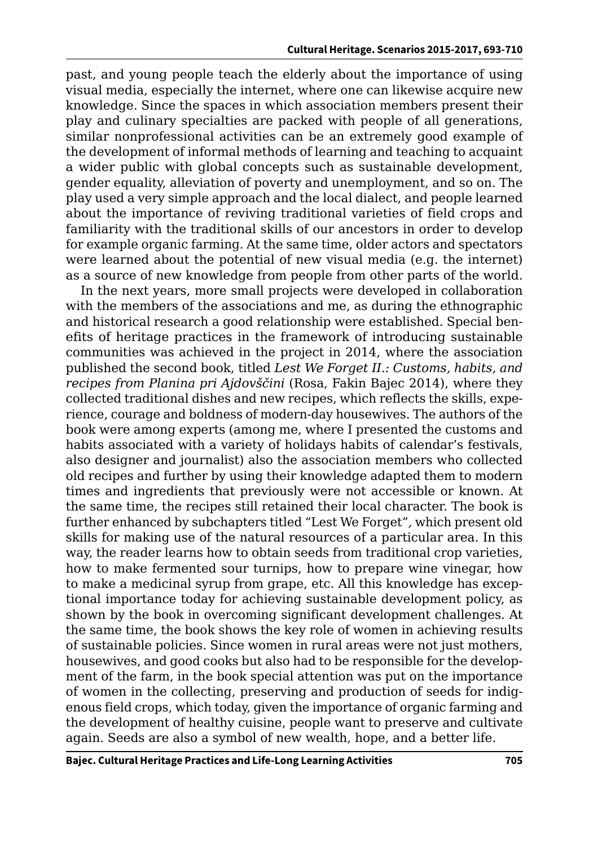past, and young people teach the elderly about the importance of using visual media, especially the internet, where one can likewise acquire new knowledge. Since the spaces in which association members present their play and culinary specialties are packed with people of all generations, similar nonprofessional activities can be an extremely good example of the development of informal methods of learning and teaching to acquaint a wider public with global concepts such as sustainable development, gender equality, alleviation of poverty and unemployment, and so on. The play used a very simple approach and the local dialect, and people learned about the importance of reviving traditional varieties of field crops and familiarity with the traditional skills of our ancestors in order to develop for example organic farming. At the same time, older actors and spectators were learned about the potential of new visual media (e.g. the internet) as a source of new knowledge from people from other parts of the world.

In the next years, more small projects were developed in collaboration with the members of the associations and me, as during the ethnographic and historical research a good relationship were established. Special benefits of heritage practices in the framework of introducing sustainable communities was achieved in the project in 2014, where the association published the second book, titled *Lest We Forget II.: Customs, habits, and recipes from Planina pri Ajdovščini* (Rosa, Fakin Bajec 2014), where they collected traditional dishes and new recipes, which reflects the skills, experience, courage and boldness of modern-day housewives. The authors of the book were among experts (among me, where I presented the customs and habits associated with a variety of holidays habits of calendar's festivals, also designer and journalist) also the association members who collected old recipes and further by using their knowledge adapted them to modern times and ingredients that previously were not accessible or known. At the same time, the recipes still retained their local character. The book is further enhanced by subchapters titled "Lest We Forget"*,* which present old skills for making use of the natural resources of a particular area. In this way, the reader learns how to obtain seeds from traditional crop varieties, how to make fermented sour turnips, how to prepare wine vinegar, how to make a medicinal syrup from grape, etc. All this knowledge has exceptional importance today for achieving sustainable development policy, as shown by the book in overcoming significant development challenges. At the same time, the book shows the key role of women in achieving results of sustainable policies. Since women in rural areas were not just mothers, housewives, and good cooks but also had to be responsible for the development of the farm, in the book special attention was put on the importance of women in the collecting, preserving and production of seeds for indigenous field crops, which today, given the importance of organic farming and the development of healthy cuisine, people want to preserve and cultivate again. Seeds are also a symbol of new wealth, hope, and a better life.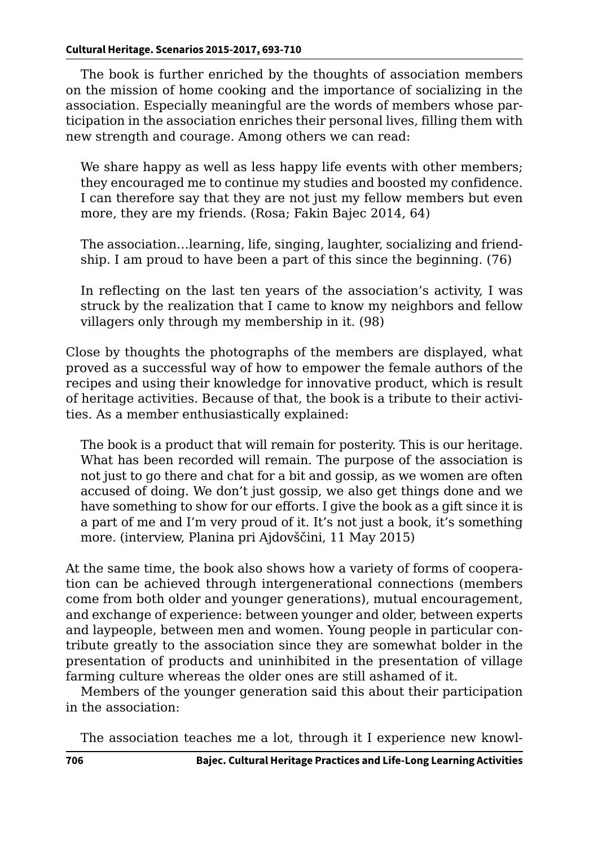The book is further enriched by the thoughts of association members on the mission of home cooking and the importance of socializing in the association. Especially meaningful are the words of members whose participation in the association enriches their personal lives, filling them with new strength and courage. Among others we can read:

We share happy as well as less happy life events with other members; they encouraged me to continue my studies and boosted my confidence. I can therefore say that they are not just my fellow members but even more, they are my friends. (Rosa; Fakin Bajec 2014, 64)

The association…learning, life, singing, laughter, socializing and friendship. I am proud to have been a part of this since the beginning. (76)

In reflecting on the last ten years of the association's activity, I was struck by the realization that I came to know my neighbors and fellow villagers only through my membership in it. (98)

Close by thoughts the photographs of the members are displayed, what proved as a successful way of how to empower the female authors of the recipes and using their knowledge for innovative product, which is result of heritage activities. Because of that, the book is a tribute to their activities. As a member enthusiastically explained:

The book is a product that will remain for posterity. This is our heritage. What has been recorded will remain. The purpose of the association is not just to go there and chat for a bit and gossip, as we women are often accused of doing. We don't just gossip, we also get things done and we have something to show for our efforts. I give the book as a gift since it is a part of me and I'm very proud of it. It's not just a book, it's something more. (interview, Planina pri Ajdovščini, 11 May 2015)

At the same time, the book also shows how a variety of forms of cooperation can be achieved through intergenerational connections (members come from both older and younger generations), mutual encouragement, and exchange of experience: between younger and older, between experts and laypeople, between men and women. Young people in particular contribute greatly to the association since they are somewhat bolder in the presentation of products and uninhibited in the presentation of village farming culture whereas the older ones are still ashamed of it.

Members of the younger generation said this about their participation in the association:

The association teaches me a lot, through it I experience new knowl-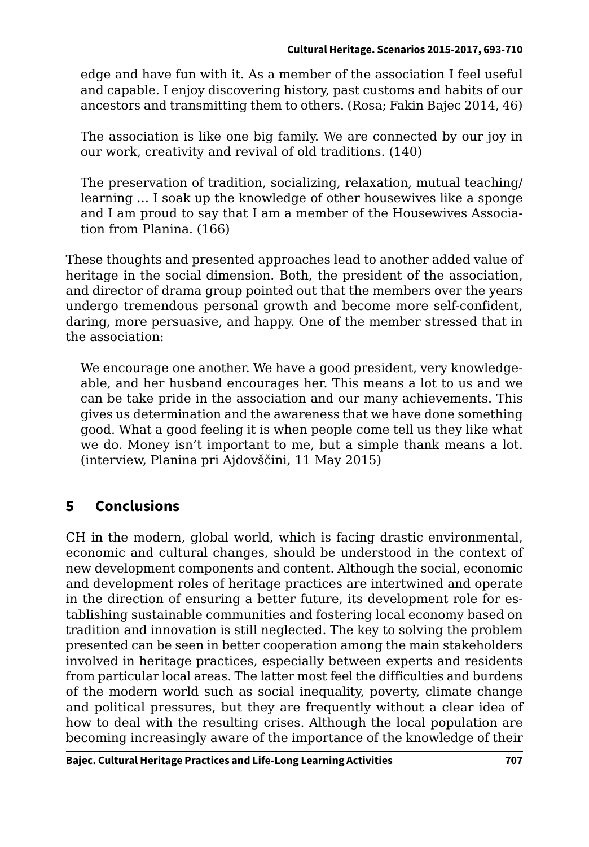edge and have fun with it. As a member of the association I feel useful and capable. I enjoy discovering history, past customs and habits of our ancestors and transmitting them to others. (Rosa; Fakin Bajec 2014, 46)

The association is like one big family. We are connected by our joy in our work, creativity and revival of old traditions. (140)

The preservation of tradition, socializing, relaxation, mutual teaching/ learning … I soak up the knowledge of other housewives like a sponge and I am proud to say that I am a member of the Housewives Association from Planina. (166)

These thoughts and presented approaches lead to another added value of heritage in the social dimension. Both, the president of the association, and director of drama group pointed out that the members over the years undergo tremendous personal growth and become more self-confident, daring, more persuasive, and happy. One of the member stressed that in the association:

We encourage one another. We have a good president, very knowledgeable, and her husband encourages her. This means a lot to us and we can be take pride in the association and our many achievements. This gives us determination and the awareness that we have done something good. What a good feeling it is when people come tell us they like what we do. Money isn't important to me, but a simple thank means a lot. (interview, Planina pri Ajdovščini, 11 May 2015)

## **5 Conclusions**

CH in the modern, global world, which is facing drastic environmental, economic and cultural changes, should be understood in the context of new development components and content. Although the social, economic and development roles of heritage practices are intertwined and operate in the direction of ensuring a better future, its development role for establishing sustainable communities and fostering local economy based on tradition and innovation is still neglected. The key to solving the problem presented can be seen in better cooperation among the main stakeholders involved in heritage practices, especially between experts and residents from particular local areas. The latter most feel the difficulties and burdens of the modern world such as social inequality, poverty, climate change and political pressures, but they are frequently without a clear idea of how to deal with the resulting crises. Although the local population are becoming increasingly aware of the importance of the knowledge of their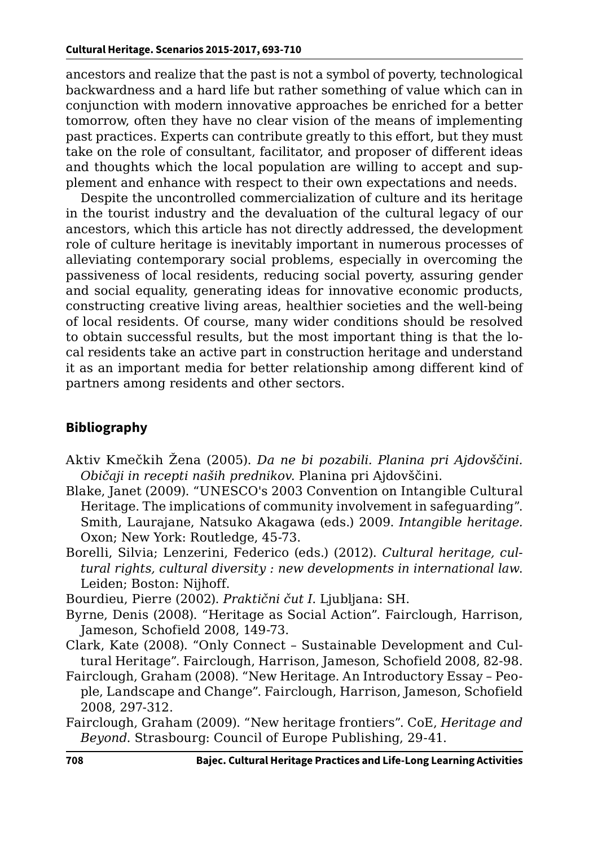ancestors and realize that the past is not a symbol of poverty, technological backwardness and a hard life but rather something of value which can in conjunction with modern innovative approaches be enriched for a better tomorrow, often they have no clear vision of the means of implementing past practices. Experts can contribute greatly to this effort, but they must take on the role of consultant, facilitator, and proposer of different ideas and thoughts which the local population are willing to accept and supplement and enhance with respect to their own expectations and needs.

Despite the uncontrolled commercialization of culture and its heritage in the tourist industry and the devaluation of the cultural legacy of our ancestors, which this article has not directly addressed, the development role of culture heritage is inevitably important in numerous processes of alleviating contemporary social problems, especially in overcoming the passiveness of local residents, reducing social poverty, assuring gender and social equality, generating ideas for innovative economic products, constructing creative living areas, healthier societies and the well-being of local residents. Of course, many wider conditions should be resolved to obtain successful results, but the most important thing is that the local residents take an active part in construction heritage and understand it as an important media for better relationship among different kind of partners among residents and other sectors.

#### **Bibliography**

- Aktiv Kmečkih Žena (2005). *Da ne bi pozabili. Planina pri Ajdovščini. Običaji in recepti naših prednikov*. Planina pri Ajdovščini.
- Blake, Janet (2009). "UNESCO's 2003 Convention on Intangible Cultural Heritage. The implications of community involvement in safeguarding". Smith, Laurajane, Natsuko Akagawa (eds.) 2009. *Intangible heritage.*  Oxon; New York: Routledge, 45-73.
- Borelli, Silvia; Lenzerini, Federico (eds.) (2012). *Cultural heritage, cultural rights, cultural diversity : new developments in international law*. Leiden; Boston: Nijhoff.
- Bourdieu, Pierre (2002). *Praktični čut I*. Ljubljana: SH.
- Byrne, Denis (2008). "Heritage as Social Action". Fairclough, Harrison, Jameson, Schofield 2008, 149-73.
- Clark, Kate (2008). "Only Connect Sustainable Development and Cultural Heritage". Fairclough, Harrison, Jameson, Schofield 2008, 82-98.
- Fairclough, Graham (2008). "New Heritage. An Introductory Essay People, Landscape and Change". Fairclough, Harrison, Jameson, Schofield 2008, 297-312.
- Fairclough, Graham (2009). "New heritage frontiers". CoE, *Heritage and Beyond*. Strasbourg: Council of Europe Publishing, 29-41.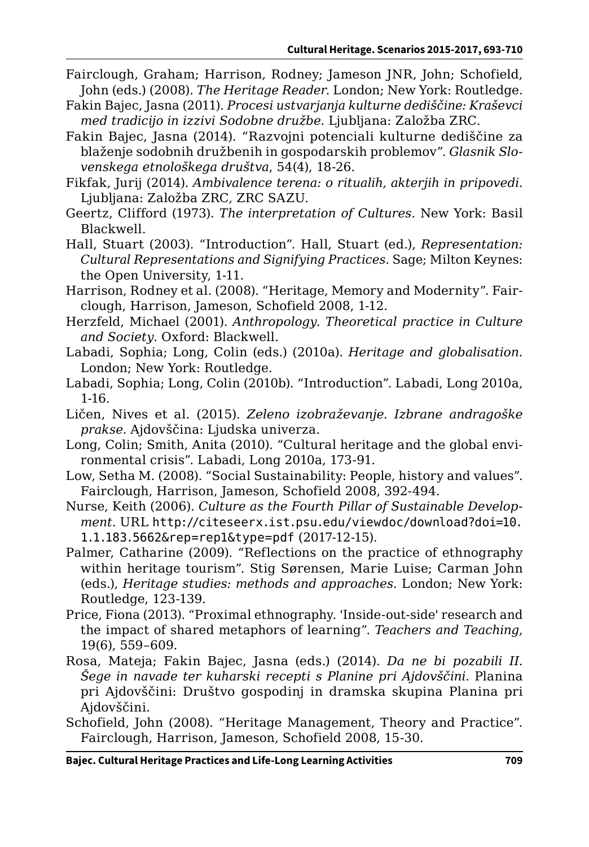- Fairclough, Graham; Harrison, Rodney; Jameson JNR, John; Schofield, John (eds.) (2008). *The Heritage Reader*. London; New York: Routledge.
- Fakin Bajec, Jasna (2011). *Procesi ustvarjanja kulturne dediščine: Kraševci med tradicijo in izzivi Sodobne družbe*. Ljubljana: Založba ZRC.
- Fakin Bajec, Jasna (2014). "Razvojni potenciali kulturne dediščine za blaženje sodobnih družbenih in gospodarskih problemov". *Glasnik Slovenskega etnološkega društva*, 54(4), 18-26.
- Fikfak, Jurij (2014). *Ambivalence terena: o ritualih, akterjih in pripovedi*. Ljubljana: Založba ZRC, ZRC SAZU.
- Geertz, Clifford (1973). *The interpretation of Cultures*. New York: Basil Blackwell.
- Hall, Stuart (2003). "Introduction". Hall, Stuart (ed.), *Representation: Cultural Representations and Signifying Practices*. Sage; Milton Keynes: the Open University, 1-11.
- Harrison, Rodney et al. (2008). "Heritage, Memory and Modernity". Fairclough, Harrison, Jameson, Schofield 2008, 1-12.
- Herzfeld, Michael (2001). *Anthropology. Theoretical practice in Culture and Society*. Oxford: Blackwell.
- Labadi, Sophia; Long, Colin (eds.) (2010a). *Heritage and globalisation*. London; New York: Routledge.
- Labadi, Sophia; Long, Colin (2010b). "Introduction". Labadi, Long 2010a, 1-16.
- Ličen, Nives et al. (2015). *Zeleno izobraževanje. Izbrane andragoške prakse*. Ajdovščina: Ljudska univerza.
- Long, Colin; Smith, Anita (2010). "Cultural heritage and the global environmental crisis". Labadi, Long 2010a, 173-91.
- Low, Setha M. (2008). "Social Sustainability: People, history and values". Fairclough, Harrison, Jameson, Schofield 2008, 392-494.
- Nurse, Keith (2006). *Culture as the Fourth Pillar of Sustainable Development*. URL [http://citeseerx.ist.psu.edu/viewdoc/download?doi=10.](http://citeseerx.ist.psu.edu/viewdoc/download?doi=10.1.1.183.5662&rep=rep1&type=pdf) [1.1.183.5662&rep=rep1&type=pdf](http://citeseerx.ist.psu.edu/viewdoc/download?doi=10.1.1.183.5662&rep=rep1&type=pdf) (2017-12-15).
- Palmer, Catharine (2009). "Reflections on the practice of ethnography within heritage tourism". Stig Sørensen, Marie Luise; Carman John (eds.), *Heritage studies: methods and approaches*. London; New York: Routledge, 123-139.
- Price, Fiona (2013). "Proximal ethnography. 'Inside-out-side' research and the impact of shared metaphors of learning". *Teachers and Teaching*, 19(6), 559–609.
- Rosa, Mateja; Fakin Bajec, Jasna (eds.) (2014). *Da ne bi pozabili II. Šege in navade ter kuharski recepti s Planine pri Ajdovščini*. Planina pri Ajdovščini: Društvo gospodinj in dramska skupina Planina pri Ajdovščini.
- Schofield, John (2008). "Heritage Management, Theory and Practice". Fairclough, Harrison, Jameson, Schofield 2008, 15-30.